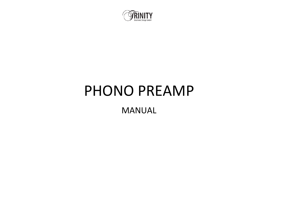

# PHONO PREAMP

MANUAL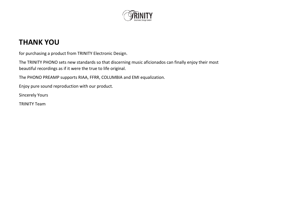

#### **THANK YOU**

for purchasing a product from TRINITY Electronic Design.

The TRINITY PHONO sets new standards so that discerning music aficionados can finally enjoy their most beautiful recordings as if it were the true to life original.

The PHONO PREAMP supports RIAA, FFRR, COLUMBIA and EMI equalization.

Enjoy pure sound reproduction with our product.

Sincerely Yours

TRINITY Team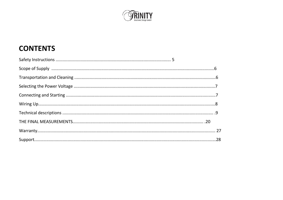

# **CONTENTS**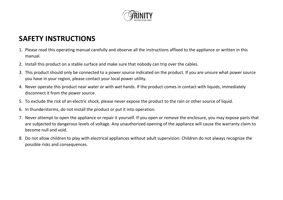

#### **SAFETY INSTRUCTIONS**

- 1. Please read this operating manual carefully and observe all the instructions affixed to the appliance or written in this manual.
- 2. Install this product on a stable surface and make sure that nobody can trip over the cables.
- 3. This product should only be connected to a power source indicated on the product. If you are unsure what power source you have in your region, please contact your local power utility.
- 4. Never operate this product near water or with wet hands. If the product comes in contact with liquids, immediately disconnect it from the power source.
- 5. To exclude the risk of an electric shock, please never expose the product to the rain or other source of liquid.
- 6. In thunderstorms, do not install the product or put it into operation.
- 7. Never attempt to open the appliance or repair it yourself. If you open or remove the enclosure, you may expose parts that are subjected to dangerous levels of voltage. Any unauthorized opening of the appliance will cause the warranty claim to become null and void.
- 8. Do not allow children to play with electrical appliances without adult supervision. Children do not always recognize the possible risks and consequences.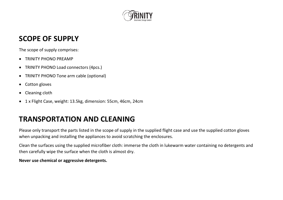

#### **SCOPE OF SUPPLY**

The scope of supply comprises:

- TRINITY PHONO PREAMP
- TRINITY PHONO Load connectors (4pcs.)
- TRINITY PHONO Tone arm cable (optional)
- Cotton gloves
- Cleaning cloth
- 1 x Flight Case, weight: 13.5kg, dimension: 55cm, 46cm, 24cm

# **TRANSPORTATION AND CLEANING**

Please only transport the parts listed in the scope of supply in the supplied flight case and use the supplied cotton gloves when unpacking and installing the appliances to avoid scratching the enclosures.

Clean the surfaces using the supplied microfiber cloth: immerse the cloth in lukewarm water containing no detergents and then carefully wipe the surface when the cloth is almost dry.

#### **Never use chemical or aggressive detergents.**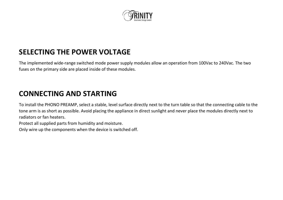

# **SELECTING THE POWER VOLTAGE**

The implemented wide-range switched mode power supply modules allow an operation from 100Vac to 240Vac. The two fuses on the primary side are placed inside of these modules.

#### **CONNECTING AND STARTING**

To install the PHONO PREAMP, select a stable, level surface directly next to the turn table so that the connecting cable to the tone arm is as short as possible. Avoid placing the appliance in direct sunlight and never place the modules directly next to radiators or fan heaters.

Protect all supplied parts from humidity and moisture.

Only wire up the components when the device is switched off.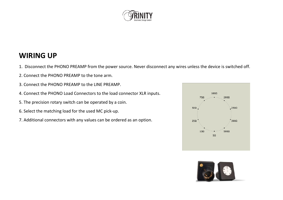

#### **WIRING UP**

- 1. Disconnect the PHONO PREAMP from the power source. Never disconnect any wires unless the device is switched off.
- 2. Connect the PHONO PREAMP to the tone arm.
- 3. Connect the PHONO PREAMP to the LINE PREAMP.
- 4. Connect the PHONO Load Connectors to the load connector XLR inputs.
- 5. The precision rotary switch can be operated by a coin.
- 6. Select the matching load for the used MC pick-up.
- 7. Additional connectors with any values can be ordered as an option.



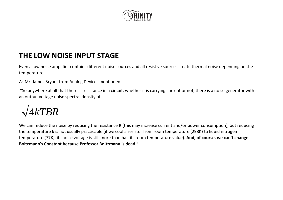

#### **THE LOW NOISE INPUT STAGE**

Even a low noise amplifier contains different noise sources and all resistive sources create thermal noise depending on the temperature.

As Mr. James Bryant from Analog Devices mentioned:

"So anywhere at all that there is resistance in a circuit, whether it is carrying current or not, there is a noise generator with an output voltage noise spectral density of



We can reduce the noise by reducing the resistance **R** (this may increase current and/or power consumption), but reducing the temperature **k** is not usually practicable (if we cool a resistor from room temperature (298K) to liquid nitrogen temperature (77K), its noise voltage is still more than half its room temperature value). **And, of course, we can't change Boltzmann's Constant because Professor Boltzmann is dead."**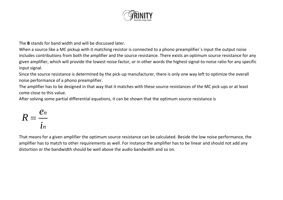

The **B** stands for band width and will be discussed later.

When a source like a MC pickup with it matching resistor is connected to a phono preamplifier`s input the output noise includes contributions from both the amplifier and the source resistance. There exists an optimum source resistance for any given amplifier, which will provide the lowest noise factor, or in other words the highest signal-to-noise ratio for any specific input signal.

Since the source resistance is determined by the pick-up manufacturer, there is only one way left to optimize the overall noise performance of a phono preamplifier.

The amplifier has to be designed in that way that it matches with these source resistances of the MC pick-ups or at least come close to this value.

After solving some partial differential equations, it can be shown that the optimum source resistance is

$$
R=\frac{e_n}{i_n}
$$

That means for a given amplifier the optimum source resistance can be calculated. Beside the low noise performance, the amplifier has to match to other requirements as well. For instance the amplifier has to be linear and should not add any distortion or the bandwidth should be well above the audio bandwidth and so on.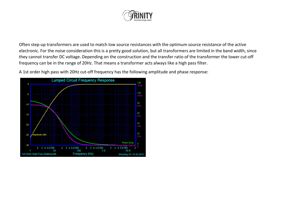

Often step-up transformers are used to match low source resistances with the optimum source resistance of the active electronic. For the noise consideration this is a pretty good solution, but all transformers are limited in the band width, since they cannot transfer DC voltage. Depending on the construction and the transfer ratio of the transformer the lower cut-off frequency can be in the range of 20Hz. That means a transformer acts always like a high pass filter.

A 1st order high pass with 20Hz cut-off frequency has the following amplitude and phase response:

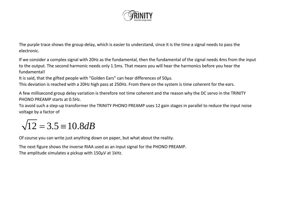

The purple trace shows the group delay, which is easier to understand, since it is the time a signal needs to pass the electronic.

If we consider a complex signal with 20Hz as the fundamental, then the fundamental of the signal needs 4ms from the input to the output. The second harmonic needs only 1.5ms. That means you will hear the harmonics before you hear the fundamental!

It is said, that the gifted people with "Golden Ears" can hear differences of 50µs.

This deviation is reached with a 20Hz high pass at 250Hz. From there on the system is time coherent for the ears.

A few millisecond group delay variation is therefore not time coherent and the reason why the DC servo in the TRINITY PHONO PREAMP starts at 0.5Hz.

To avoid such a step-up transformer the TRINITY PHONO PREAMP uses 12 gain stages in parallel to reduce the input noise voltage by a factor of

# $\sqrt{12} = 3.5 \equiv 10.8 dB$

Of course you can write just anything down on paper, but what about the reality.

The next figure shows the inverse RIAA used as an input signal for the PHONO PREAMP. The amplitude simulates a pickup with 150µV at 1kHz.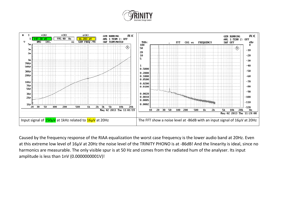



Caused by the frequency response of the RIAA equalization the worst case frequency is the lower audio band at 20Hz. Even at this extreme low level of 16µV at 20Hz the noise level of the TRINITY PHONO is at -86dB! And the linearity is ideal, since no harmonics are measurable. The only visible spur is at 50 Hz and comes from the radiated hum of the analyser. Its input amplitude is less than 1nV (0.0000000001V)!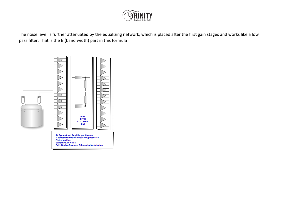

The noise level is further attenuated by the equalizing network, which is placed after the first gain stages and works like a low pass filter. That is the B (band width) part in this formula

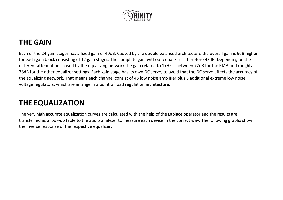

#### **THE GAIN**

Each of the 24 gain stages has a fixed gain of 40dB. Caused by the double balanced architecture the overall gain is 6dB higher for each gain block consisting of 12 gain stages. The complete gain without equalizer is therefore 92dB. Depending on the different attenuation caused by the equalizing network the gain related to 1kHz is between 72dB for the RIAA und roughly 78dB for the other equalizer settings. Each gain stage has its own DC servo, to avoid that the DC servo affects the accuracy of the equalizing network. That means each channel consist of 48 low noise amplifier plus 8 additional extreme low noise voltage regulators, which are arrange in a point of load regulation architecture.

#### **THE EQUALIZATION**

The very high accurate equalization curves are calculated with the help of the Laplace operator and the results are transferred as a look-up table to the audio analyser to measure each device in the correct way. The following graphs show the inverse response of the respective equalizer.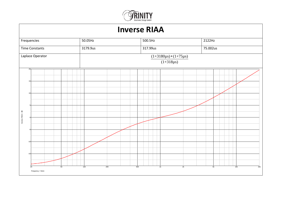

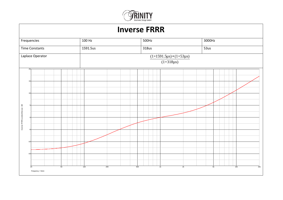

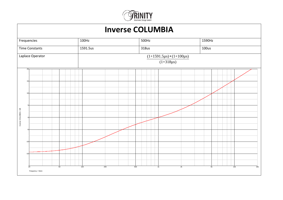

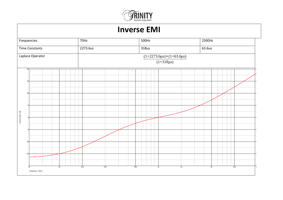

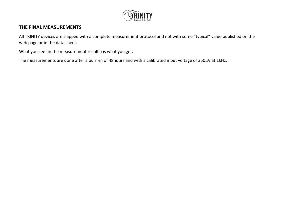

#### **THE FINAL MEASUREMENTS**

All TRINITY devices are shipped with a complete measurement protocol and not with some "typical" value published on the web page or in the data sheet.

What you see (in the measurement results) is what you get.

The measurements are done after a burn-in of 48hours and with a calibrated input voltage of 350µV at 1kHz.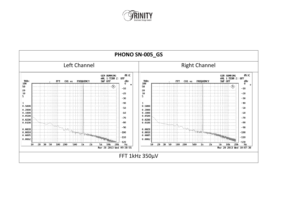

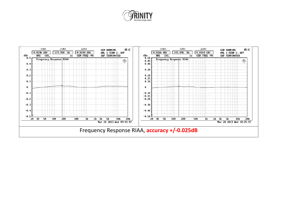

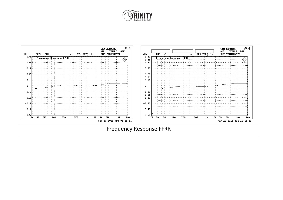

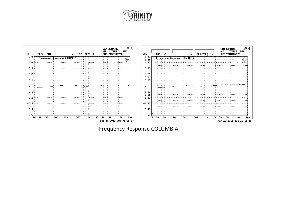

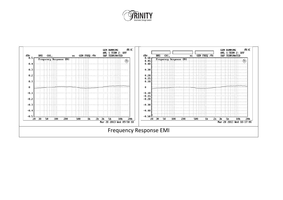

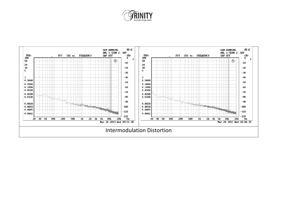

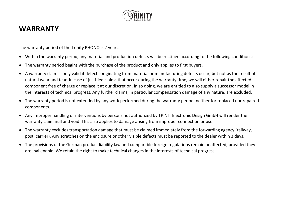

#### **WARRANTY**

The warranty period of the Trinity PHONO is 2 years.

- Within the warranty period, any material and production defects will be rectified according to the following conditions:
- The warranty period begins with the purchase of the product and only applies to first buyers.
- A warranty claim is only valid if defects originating from material or manufacturing defects occur, but not as the result of natural wear and tear. In case of justified claims that occur during the warranty time, we will either repair the affected component free of charge or replace it at our discretion. In so doing, we are entitled to also supply a successor model in the interests of technical progress. Any further claims, in particular compensation damage of any nature, are excluded.
- The warranty period is not extended by any work performed during the warranty period, neither for replaced nor repaired components.
- Any improper handling or interventions by persons not authorized by TRINIT Electronic Design GmbH will render the warranty claim null and void. This also applies to damage arising from improper connection or use.
- The warranty excludes transportation damage that must be claimed immediately from the forwarding agency (railway, post, carrier). Any scratches on the enclosure or other visible defects must be reported to the dealer within 3 days.
- The provisions of the German product liability law and comparable foreign regulations remain unaffected, provided they are inalienable. We retain the right to make technical changes in the interests of technical progress